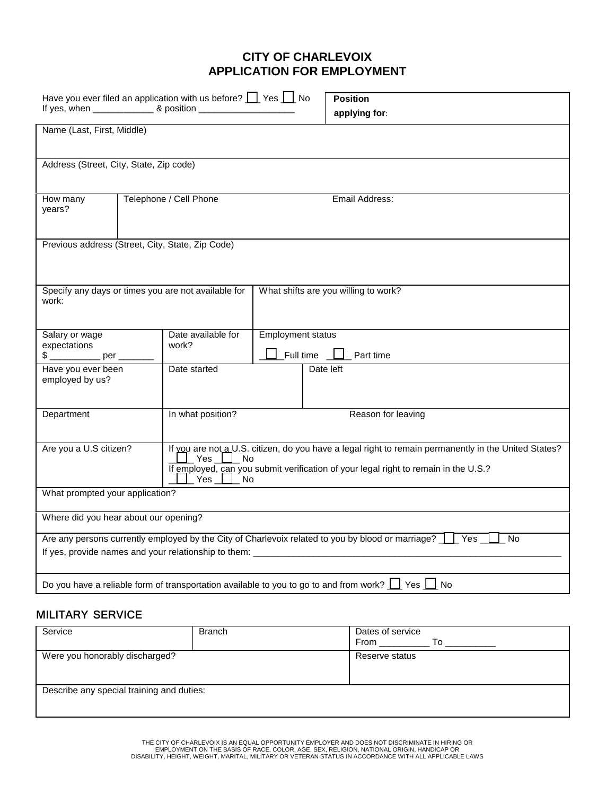# **CITY OF CHARLEVOIX APPLICATION FOR EMPLOYMENT**

|                                                  | Have you ever filed an application with us before? $\Box$ Yes $\Box$ No |                          |                                                                                                                    |
|--------------------------------------------------|-------------------------------------------------------------------------|--------------------------|--------------------------------------------------------------------------------------------------------------------|
|                                                  |                                                                         |                          | <b>Position</b>                                                                                                    |
|                                                  |                                                                         |                          | applying for:                                                                                                      |
| Name (Last, First, Middle)                       |                                                                         |                          |                                                                                                                    |
|                                                  |                                                                         |                          |                                                                                                                    |
| Address (Street, City, State, Zip code)          |                                                                         |                          |                                                                                                                    |
|                                                  |                                                                         |                          |                                                                                                                    |
|                                                  |                                                                         |                          |                                                                                                                    |
| How many                                         | Telephone / Cell Phone                                                  |                          | Email Address:                                                                                                     |
| years?                                           |                                                                         |                          |                                                                                                                    |
|                                                  |                                                                         |                          |                                                                                                                    |
| Previous address (Street, City, State, Zip Code) |                                                                         |                          |                                                                                                                    |
|                                                  |                                                                         |                          |                                                                                                                    |
|                                                  |                                                                         |                          |                                                                                                                    |
|                                                  |                                                                         |                          |                                                                                                                    |
| work:                                            | Specify any days or times you are not available for                     |                          | What shifts are you willing to work?                                                                               |
|                                                  |                                                                         |                          |                                                                                                                    |
|                                                  |                                                                         |                          |                                                                                                                    |
| Salary or wage                                   | Date available for                                                      | <b>Employment status</b> |                                                                                                                    |
| expectations<br>\$ __________ per __             | work?                                                                   | Full time                | Part time                                                                                                          |
| Have you ever been                               | Date started                                                            |                          | Date left                                                                                                          |
| employed by us?                                  |                                                                         |                          |                                                                                                                    |
|                                                  |                                                                         |                          |                                                                                                                    |
| Department                                       | In what position?                                                       |                          | Reason for leaving                                                                                                 |
|                                                  |                                                                         |                          |                                                                                                                    |
|                                                  |                                                                         |                          |                                                                                                                    |
| Are you a U.S citizen?                           |                                                                         |                          | If you are not a U.S. citizen, do you have a legal right to remain permanently in the United States?               |
|                                                  | $Yes$ No                                                                |                          | If employed, can you submit verification of your legal right to remain in the U.S.?                                |
|                                                  | $\_$ Yes $\_$<br>No                                                     |                          |                                                                                                                    |
| What prompted your application?                  |                                                                         |                          |                                                                                                                    |
|                                                  |                                                                         |                          |                                                                                                                    |
| Where did you hear about our opening?            |                                                                         |                          |                                                                                                                    |
|                                                  |                                                                         |                          | Are any persons currently employed by the City of Charlevoix related to you by blood or marriage? Fig. Ses<br>- No |
|                                                  |                                                                         |                          |                                                                                                                    |
|                                                  |                                                                         |                          |                                                                                                                    |
|                                                  |                                                                         |                          | Do you have a reliable form of transportation available to you to go to and from work? $\Box$ Yes $\Box$ No        |
|                                                  |                                                                         |                          |                                                                                                                    |

# **MILITARY SERVICE**

| Service                                   | <b>Branch</b> | Dates of service<br>From<br>To |
|-------------------------------------------|---------------|--------------------------------|
| Were you honorably discharged?            |               | Reserve status                 |
| Describe any special training and duties: |               |                                |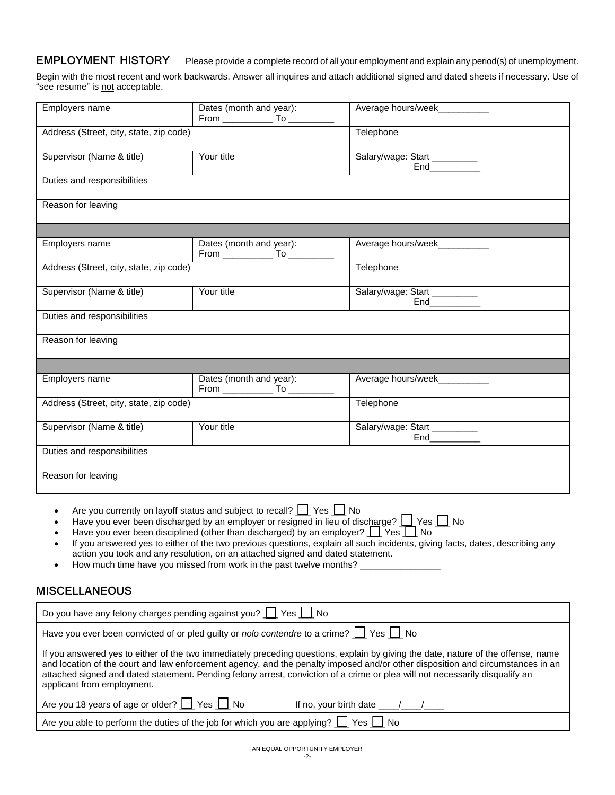### **EMPLOYMENT HISTORY** Please provide a complete record of all your employment and explain any period(s) of unemployment.

Begin with the most recent and work backwards. Answer all inquires and attach additional signed and dated sheets if necessary. Use of "see resume" is not acceptable.

| Employers name                                                           | Dates (month and year):                                                                                                                                                                                                                                                                                                                                                                                                                      | Average hours/week_________                                                                                                                                                                                                                                                                                                                                                                         |
|--------------------------------------------------------------------------|----------------------------------------------------------------------------------------------------------------------------------------------------------------------------------------------------------------------------------------------------------------------------------------------------------------------------------------------------------------------------------------------------------------------------------------------|-----------------------------------------------------------------------------------------------------------------------------------------------------------------------------------------------------------------------------------------------------------------------------------------------------------------------------------------------------------------------------------------------------|
| Address (Street, city, state, zip code)                                  |                                                                                                                                                                                                                                                                                                                                                                                                                                              | Telephone                                                                                                                                                                                                                                                                                                                                                                                           |
| Supervisor (Name & title)                                                | Your title                                                                                                                                                                                                                                                                                                                                                                                                                                   | Salary/wage: Start                                                                                                                                                                                                                                                                                                                                                                                  |
| Duties and responsibilities                                              |                                                                                                                                                                                                                                                                                                                                                                                                                                              |                                                                                                                                                                                                                                                                                                                                                                                                     |
| Reason for leaving                                                       |                                                                                                                                                                                                                                                                                                                                                                                                                                              |                                                                                                                                                                                                                                                                                                                                                                                                     |
|                                                                          |                                                                                                                                                                                                                                                                                                                                                                                                                                              |                                                                                                                                                                                                                                                                                                                                                                                                     |
| Employers name                                                           | Dates (month and year):                                                                                                                                                                                                                                                                                                                                                                                                                      | Average hours/week___________                                                                                                                                                                                                                                                                                                                                                                       |
| Address (Street, city, state, zip code)                                  |                                                                                                                                                                                                                                                                                                                                                                                                                                              | Telephone                                                                                                                                                                                                                                                                                                                                                                                           |
| Supervisor (Name & title)                                                | Your title                                                                                                                                                                                                                                                                                                                                                                                                                                   | Salary/wage: Start _________                                                                                                                                                                                                                                                                                                                                                                        |
| Duties and responsibilities                                              |                                                                                                                                                                                                                                                                                                                                                                                                                                              |                                                                                                                                                                                                                                                                                                                                                                                                     |
| Reason for leaving                                                       |                                                                                                                                                                                                                                                                                                                                                                                                                                              |                                                                                                                                                                                                                                                                                                                                                                                                     |
|                                                                          |                                                                                                                                                                                                                                                                                                                                                                                                                                              |                                                                                                                                                                                                                                                                                                                                                                                                     |
| Employers name                                                           | Dates (month and year):<br>From ________________ To ________                                                                                                                                                                                                                                                                                                                                                                                 | Average hours/week____________                                                                                                                                                                                                                                                                                                                                                                      |
| Address (Street, city, state, zip code)                                  |                                                                                                                                                                                                                                                                                                                                                                                                                                              | Telephone                                                                                                                                                                                                                                                                                                                                                                                           |
| Supervisor (Name & title)                                                | Your title                                                                                                                                                                                                                                                                                                                                                                                                                                   | Salary/wage: Start _________<br>End____________                                                                                                                                                                                                                                                                                                                                                     |
| Duties and responsibilities                                              |                                                                                                                                                                                                                                                                                                                                                                                                                                              |                                                                                                                                                                                                                                                                                                                                                                                                     |
| Reason for leaving                                                       |                                                                                                                                                                                                                                                                                                                                                                                                                                              |                                                                                                                                                                                                                                                                                                                                                                                                     |
| $\bullet$                                                                | Are you currently on layoff status and subject to recall? $\Box$ Yes $\Box$ No<br>Have you ever been discharged by an employer or resigned in lieu of discharge? $\Box$ Yes $\Box$ No<br>Have you ever been disciplined (other than discharged) by an employer? $\Box$ Yes $\Box$ No<br>action you took and any resolution, on an attached signed and dated statement.<br>How much time have you missed from work in the past twelve months? | If you answered yes to either of the two previous questions, explain all such incidents, giving facts, dates, describing any                                                                                                                                                                                                                                                                        |
| <b>MISCELLANEOUS</b>                                                     |                                                                                                                                                                                                                                                                                                                                                                                                                                              |                                                                                                                                                                                                                                                                                                                                                                                                     |
| Do you have any felony charges pending against you? $\Box$ Yes $\Box$ No |                                                                                                                                                                                                                                                                                                                                                                                                                                              |                                                                                                                                                                                                                                                                                                                                                                                                     |
|                                                                          | Have you ever been convicted of or pled guilty or nolo contendre to a crime? $\Box$ Yes $\Box$ No                                                                                                                                                                                                                                                                                                                                            |                                                                                                                                                                                                                                                                                                                                                                                                     |
| applicant from employment.                                               |                                                                                                                                                                                                                                                                                                                                                                                                                                              | If you answered yes to either of the two immediately preceding questions, explain by giving the date, nature of the offense, name<br>and location of the court and law enforcement agency, and the penalty imposed and/or other disposition and circumstances in an<br>attached signed and dated statement. Pending felony arrest, conviction of a crime or plea will not necessarily disqualify an |
| Are you 18 years of age or older? 1 Yes 1 No                             |                                                                                                                                                                                                                                                                                                                                                                                                                                              | If no, your birth date $\frac{1}{\sqrt{2}}$                                                                                                                                                                                                                                                                                                                                                         |
|                                                                          | Are you able to perform the duties of the job for which you are applying? $\Box$ Yes $\Box$ No                                                                                                                                                                                                                                                                                                                                               |                                                                                                                                                                                                                                                                                                                                                                                                     |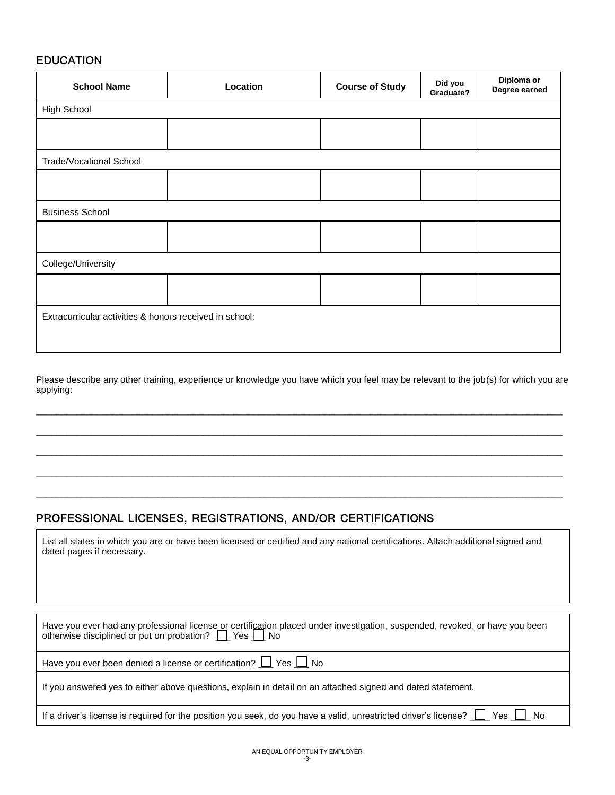### **EDUCATION**

| <b>School Name</b>                                      | Location | <b>Course of Study</b> | Did you<br>Graduate? | Diploma or<br>Degree earned |
|---------------------------------------------------------|----------|------------------------|----------------------|-----------------------------|
| <b>High School</b>                                      |          |                        |                      |                             |
|                                                         |          |                        |                      |                             |
| <b>Trade/Vocational School</b>                          |          |                        |                      |                             |
|                                                         |          |                        |                      |                             |
| <b>Business School</b>                                  |          |                        |                      |                             |
|                                                         |          |                        |                      |                             |
| College/University                                      |          |                        |                      |                             |
|                                                         |          |                        |                      |                             |
| Extracurricular activities & honors received in school: |          |                        |                      |                             |

Please describe any other training, experience or knowledge you have which you feel may be relevant to the job(s) for which you are applying:

\_\_\_\_\_\_\_\_\_\_\_\_\_\_\_\_\_\_\_\_\_\_\_\_\_\_\_\_\_\_\_\_\_\_\_\_\_\_\_\_\_\_\_\_\_\_\_\_\_\_\_\_\_\_\_\_\_\_\_\_\_\_\_\_\_\_\_\_\_\_\_\_\_\_\_\_\_\_\_\_\_\_\_\_\_\_\_\_\_\_\_\_\_\_\_\_\_\_\_\_\_\_\_\_

\_\_\_\_\_\_\_\_\_\_\_\_\_\_\_\_\_\_\_\_\_\_\_\_\_\_\_\_\_\_\_\_\_\_\_\_\_\_\_\_\_\_\_\_\_\_\_\_\_\_\_\_\_\_\_\_\_\_\_\_\_\_\_\_\_\_\_\_\_\_\_\_\_\_\_\_\_\_\_\_\_\_\_\_\_\_\_\_\_\_\_\_\_\_\_\_\_\_\_\_\_\_\_\_

\_\_\_\_\_\_\_\_\_\_\_\_\_\_\_\_\_\_\_\_\_\_\_\_\_\_\_\_\_\_\_\_\_\_\_\_\_\_\_\_\_\_\_\_\_\_\_\_\_\_\_\_\_\_\_\_\_\_\_\_\_\_\_\_\_\_\_\_\_\_\_\_\_\_\_\_\_\_\_\_\_\_\_\_\_\_\_\_\_\_\_\_\_\_\_\_\_\_\_\_\_\_\_\_

\_\_\_\_\_\_\_\_\_\_\_\_\_\_\_\_\_\_\_\_\_\_\_\_\_\_\_\_\_\_\_\_\_\_\_\_\_\_\_\_\_\_\_\_\_\_\_\_\_\_\_\_\_\_\_\_\_\_\_\_\_\_\_\_\_\_\_\_\_\_\_\_\_\_\_\_\_\_\_\_\_\_\_\_\_\_\_\_\_\_\_\_\_\_\_\_\_\_\_\_\_\_\_\_

\_\_\_\_\_\_\_\_\_\_\_\_\_\_\_\_\_\_\_\_\_\_\_\_\_\_\_\_\_\_\_\_\_\_\_\_\_\_\_\_\_\_\_\_\_\_\_\_\_\_\_\_\_\_\_\_\_\_\_\_\_\_\_\_\_\_\_\_\_\_\_\_\_\_\_\_\_\_\_\_\_\_\_\_\_\_\_\_\_\_\_\_\_\_\_\_\_\_\_\_\_\_\_\_

# **PROFESSIONAL LICENSES, REGISTRATIONS, AND/OR CERTIFICATIONS**

| List all states in which you are or have been licensed or certified and any national certifications. Attach additional signed and |  |
|-----------------------------------------------------------------------------------------------------------------------------------|--|
| dated pages if necessary.                                                                                                         |  |

| Have you ever had any professional license or certification placed under investigation, suspended, revoked, or have you been otherwise disciplined or put on probation? $\Box$ Yes $\Box$ No |
|----------------------------------------------------------------------------------------------------------------------------------------------------------------------------------------------|
| Have you ever been denied a license or certification? $\Box$ Yes $\Box$ No                                                                                                                   |
| If you answered yes to either above questions, explain in detail on an attached signed and dated statement.                                                                                  |
| If a driver's license is required for the position you seek, do you have a valid, unrestricted driver's license? $\Box$ Yes $\Box$ No                                                        |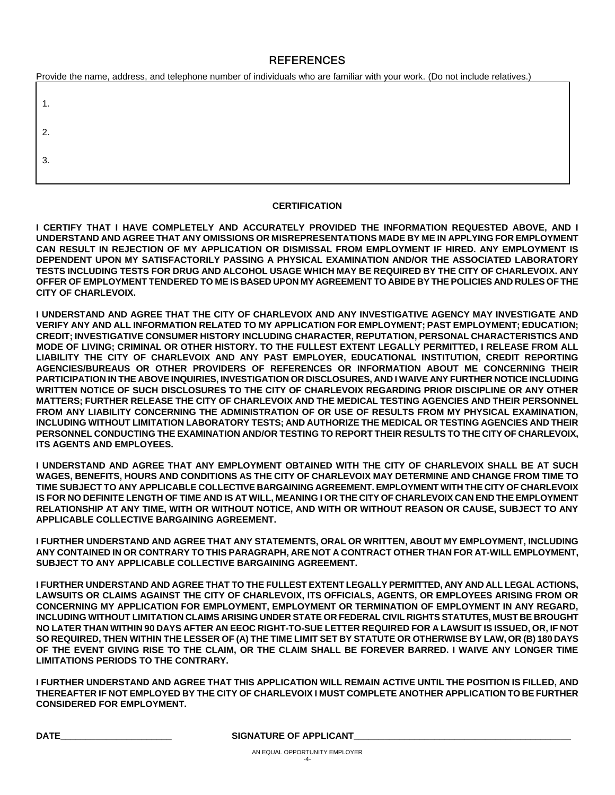### **REFERENCES**

| Provide the name, address, and telephone number of individuals who are familiar with your work. (Do not include relatives.) |  |
|-----------------------------------------------------------------------------------------------------------------------------|--|
|                                                                                                                             |  |
|                                                                                                                             |  |
| -3.                                                                                                                         |  |
|                                                                                                                             |  |

#### **CERTIFICATION**

**I CERTIFY THAT I HAVE COMPLETELY AND ACCURATELY PROVIDED THE INFORMATION REQUESTED ABOVE, AND I UNDERSTAND AND AGREE THAT ANY OMISSIONS OR MISREPRESENTATIONS MADE BY ME IN APPLYING FOR EMPLOYMENT CAN RESULT IN REJECTION OF MY APPLICATION OR DISMISSAL FROM EMPLOYMENT IF HIRED. ANY EMPLOYMENT IS DEPENDENT UPON MY SATISFACTORILY PASSING A PHYSICAL EXAMINATION AND/OR THE ASSOCIATED LABORATORY TESTS INCLUDING TESTS FOR DRUG AND ALCOHOL USAGE WHICH MAY BE REQUIRED BY THE CITY OF CHARLEVOIX. ANY OFFER OF EMPLOYMENT TENDERED TO ME IS BASED UPON MY AGREEMENT TO ABIDE BY THE POLICIES AND RULES OF THE CITY OF CHARLEVOIX.** 

**I UNDERSTAND AND AGREE THAT THE CITY OF CHARLEVOIX AND ANY INVESTIGATIVE AGENCY MAY INVESTIGATE AND VERIFY ANY AND ALL INFORMATION RELATED TO MY APPLICATION FOR EMPLOYMENT; PAST EMPLOYMENT; EDUCATION; CREDIT; INVESTIGATIVE CONSUMER HISTORY INCLUDING CHARACTER, REPUTATION, PERSONAL CHARACTERISTICS AND MODE OF LIVING; CRIMINAL OR OTHER HISTORY. TO THE FULLEST EXTENT LEGALLY PERMITTED, I RELEASE FROM ALL LIABILITY THE CITY OF CHARLEVOIX AND ANY PAST EMPLOYER, EDUCATIONAL INSTITUTION, CREDIT REPORTING AGENCIES/BUREAUS OR OTHER PROVIDERS OF REFERENCES OR INFORMATION ABOUT ME CONCERNING THEIR PARTICIPATION IN THE ABOVE INQUIRIES, INVESTIGATION OR DISCLOSURES, AND I WAIVE ANY FURTHER NOTICE INCLUDING WRITTEN NOTICE OF SUCH DISCLOSURES TO THE CITY OF CHARLEVOIX REGARDING PRIOR DISCIPLINE OR ANY OTHER MATTERS; FURTHER RELEASE THE CITY OF CHARLEVOIX AND THE MEDICAL TESTING AGENCIES AND THEIR PERSONNEL FROM ANY LIABILITY CONCERNING THE ADMINISTRATION OF OR USE OF RESULTS FROM MY PHYSICAL EXAMINATION, INCLUDING WITHOUT LIMITATION LABORATORY TESTS; AND AUTHORIZE THE MEDICAL OR TESTING AGENCIES AND THEIR PERSONNEL CONDUCTING THE EXAMINATION AND/OR TESTING TO REPORT THEIR RESULTS TO THE CITY OF CHARLEVOIX, ITS AGENTS AND EMPLOYEES.** 

**I UNDERSTAND AND AGREE THAT ANY EMPLOYMENT OBTAINED WITH THE CITY OF CHARLEVOIX SHALL BE AT SUCH WAGES, BENEFITS, HOURS AND CONDITIONS AS THE CITY OF CHARLEVOIX MAY DETERMINE AND CHANGE FROM TIME TO TIME SUBJECT TO ANY APPLICABLE COLLECTIVE BARGAINING AGREEMENT. EMPLOYMENT WITH THE CITY OF CHARLEVOIX IS FOR NO DEFINITE LENGTH OF TIME AND IS AT WILL, MEANING I OR THE CITY OF CHARLEVOIX CAN END THE EMPLOYMENT RELATIONSHIP AT ANY TIME, WITH OR WITHOUT NOTICE, AND WITH OR WITHOUT REASON OR CAUSE, SUBJECT TO ANY APPLICABLE COLLECTIVE BARGAINING AGREEMENT.** 

**I FURTHER UNDERSTAND AND AGREE THAT ANY STATEMENTS, ORAL OR WRITTEN, ABOUT MY EMPLOYMENT, INCLUDING ANY CONTAINED IN OR CONTRARY TO THIS PARAGRAPH, ARE NOT A CONTRACT OTHER THAN FOR AT-WILL EMPLOYMENT, SUBJECT TO ANY APPLICABLE COLLECTIVE BARGAINING AGREEMENT.** 

**I FURTHER UNDERSTAND AND AGREE THAT TO THE FULLEST EXTENT LEGALLY PERMITTED, ANY AND ALL LEGAL ACTIONS, LAWSUITS OR CLAIMS AGAINST THE CITY OF CHARLEVOIX, ITS OFFICIALS, AGENTS, OR EMPLOYEES ARISING FROM OR CONCERNING MY APPLICATION FOR EMPLOYMENT, EMPLOYMENT OR TERMINATION OF EMPLOYMENT IN ANY REGARD, INCLUDING WITHOUT LIMITATION CLAIMS ARISING UNDER STATE OR FEDERAL CIVIL RIGHTS STATUTES, MUST BE BROUGHT NO LATER THAN WITHIN 90 DAYS AFTER AN EEOC RIGHT-TO-SUE LETTER REQUIRED FOR A LAWSUIT IS ISSUED, OR, IF NOT SO REQUIRED, THEN WITHIN THE LESSER OF (A) THE TIME LIMIT SET BY STATUTE OR OTHERWISE BY LAW, OR (B) 180 DAYS OF THE EVENT GIVING RISE TO THE CLAIM, OR THE CLAIM SHALL BE FOREVER BARRED. I WAIVE ANY LONGER TIME LIMITATIONS PERIODS TO THE CONTRARY.** 

**I FURTHER UNDERSTAND AND AGREE THAT THIS APPLICATION WILL REMAIN ACTIVE UNTIL THE POSITION IS FILLED, AND THEREAFTER IF NOT EMPLOYED BY THE CITY OF CHARLEVOIX I MUST COMPLETE ANOTHER APPLICATION TO BE FURTHER CONSIDERED FOR EMPLOYMENT.** 

**DATE\_\_\_\_\_\_\_\_\_\_\_\_\_\_\_\_\_\_\_\_\_\_ SIGNATURE OF APPLICANT\_\_\_\_\_\_\_\_\_\_\_\_\_\_\_\_\_\_\_\_\_\_\_\_\_\_\_\_\_\_\_\_\_\_\_\_\_\_\_\_\_\_\_**